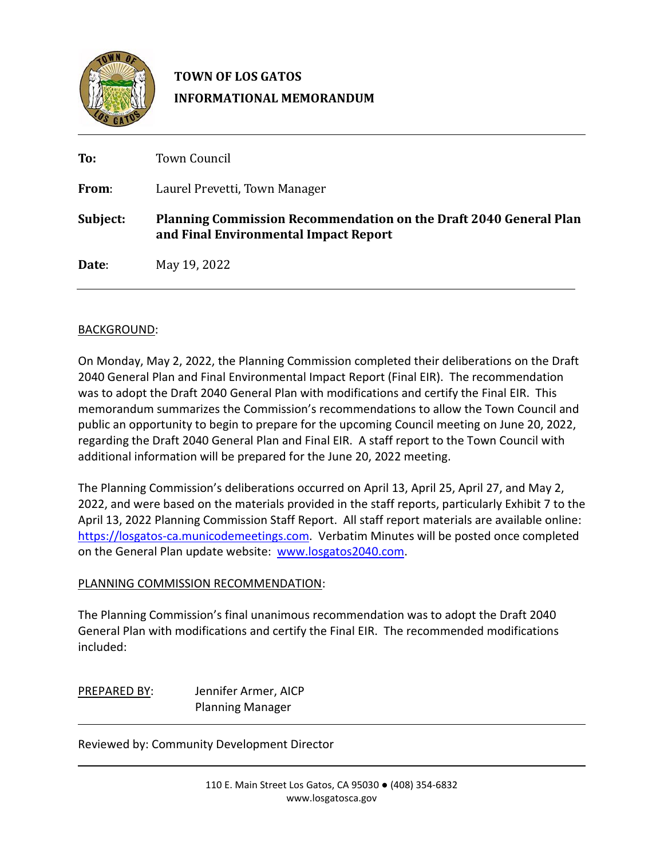

## **TOWN OF LOS GATOS INFORMATIONAL MEMORANDUM**

| To:      | <b>Town Council</b>                                                                                               |  |  |  |  |
|----------|-------------------------------------------------------------------------------------------------------------------|--|--|--|--|
| From:    | Laurel Prevetti, Town Manager                                                                                     |  |  |  |  |
| Subject: | <b>Planning Commission Recommendation on the Draft 2040 General Plan</b><br>and Final Environmental Impact Report |  |  |  |  |
| Date:    | May 19, 2022                                                                                                      |  |  |  |  |

## BACKGROUND:

On Monday, May 2, 2022, the Planning Commission completed their deliberations on the Draft 2040 General Plan and Final Environmental Impact Report (Final EIR). The recommendation was to adopt the Draft 2040 General Plan with modifications and certify the Final EIR. This memorandum summarizes the Commission's recommendations to allow the Town Council and public an opportunity to begin to prepare for the upcoming Council meeting on June 20, 2022, regarding the Draft 2040 General Plan and Final EIR. A staff report to the Town Council with additional information will be prepared for the June 20, 2022 meeting.

The Planning Commission's deliberations occurred on April 13, April 25, April 27, and May 2, 2022, and were based on the materials provided in the staff reports, particularly Exhibit 7 to the April 13, 2022 Planning Commission Staff Report. All staff report materials are available online: https://losgatos[-ca.municodemeetings.com.](https://losgatos-ca.municodemeetings.com/) Verbatim Minutes will be posted once completed on the General Plan update website: [www.losgatos2040.com](http://www.losgatos2040.com/).

## PLANNING COMMISSION RECOMMENDATION:

The Planning Commission's final unanimous recommendation was to adopt the Draft 2040 General Plan with modifications and certify the Final EIR. The recommended modifications included:

PREPARED BY: Jennifer Armer, AICP Planning Manager

Reviewed by: Community Development Director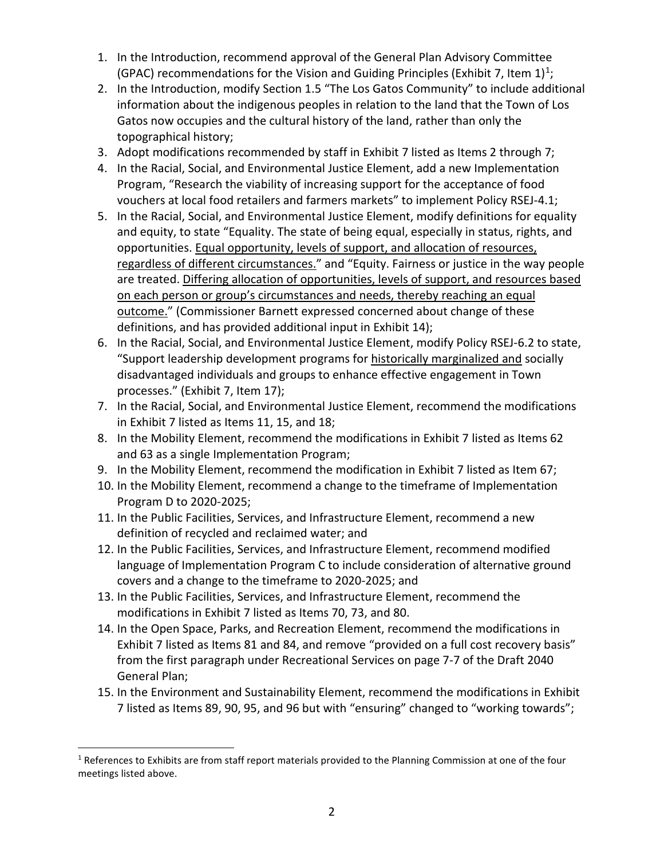- 1. In the Introduction, recommend approval of the General Plan Advisory Committee (GPAC) recommendations for the Vision and Guiding Principles (Exhibit 7, Item  $1$ )<sup>1</sup>;
- 2. In the Introduction, modify Section 1.5 "The Los Gatos Community" to include additional information about the indigenous peoples in relation to the land that the Town of Los Gatos now occupies and the cultural history of the land, rather than only the topographical history;
- 3. Adopt modifications recommended by staff in Exhibit 7 listed as Items 2 through 7;
- 4. In the Racial, Social, and Environmental Justice Element, add a new Implementation Program, "Research the viability of increasing support for the acceptance of food vouchers at local food retailers and farmers markets" to implement Policy RSEJ-4.1;
- 5. In the Racial, Social, and Environmental Justice Element, modify definitions for equality and equity, to state "Equality. The state of being equal, especially in status, rights, and opportunities. Equal opportunity, levels of support, and allocation of resources, regardless of different circumstances." and "Equity. Fairness or justice in the way people are treated. Differing allocation of opportunities, levels of support, and resources based on each person or group's circumstances and needs, thereby reaching an equal outcome." (Commissioner Barnett expressed concerned about change of these definitions, and has provided additional input in Exhibit 14);
- 6. In the Racial, Social, and Environmental Justice Element, modify Policy RSEJ-6.2 to state, "Support leadership development programs for historically marginalized and socially disadvantaged individuals and groups to enhance effective engagement in Town processes." (Exhibit 7, Item 17);
- 7. In the Racial, Social, and Environmental Justice Element, recommend the modifications in Exhibit 7 listed as Items 11, 15, and 18;
- 8. In the Mobility Element, recommend the modifications in Exhibit 7 listed as Items 62 and 63 as a single Implementation Program;
- 9. In the Mobility Element, recommend the modification in Exhibit 7 listed as Item 67;
- 10. In the Mobility Element, recommend a change to the timeframe of Implementation Program D to 2020-2025;
- 11. In the Public Facilities, Services, and Infrastructure Element, recommend a new definition of recycled and reclaimed water; and
- 12. In the Public Facilities, Services, and Infrastructure Element, recommend modified language of Implementation Program C to include consideration of alternative ground covers and a change to the timeframe to 2020-2025; and
- 13. In the Public Facilities, Services, and Infrastructure Element, recommend the modifications in Exhibit 7 listed as Items 70, 73, and 80.
- 14. In the Open Space, Parks, and Recreation Element, recommend the modifications in Exhibit 7 listed as Items 81 and 84, and remove "provided on a full cost recovery basis" from the first paragraph under Recreational Services on page 7-7 of the Draft 2040 General Plan;
- 15. In the Environment and Sustainability Element, recommend the modifications in Exhibit 7 listed as Items 89, 90, 95, and 96 but with "ensuring" changed to "working towards";

<span id="page-1-0"></span><sup>&</sup>lt;sup>1</sup> References to Exhibits are from staff report materials provided to the Planning Commission at one of the four meetings listed above.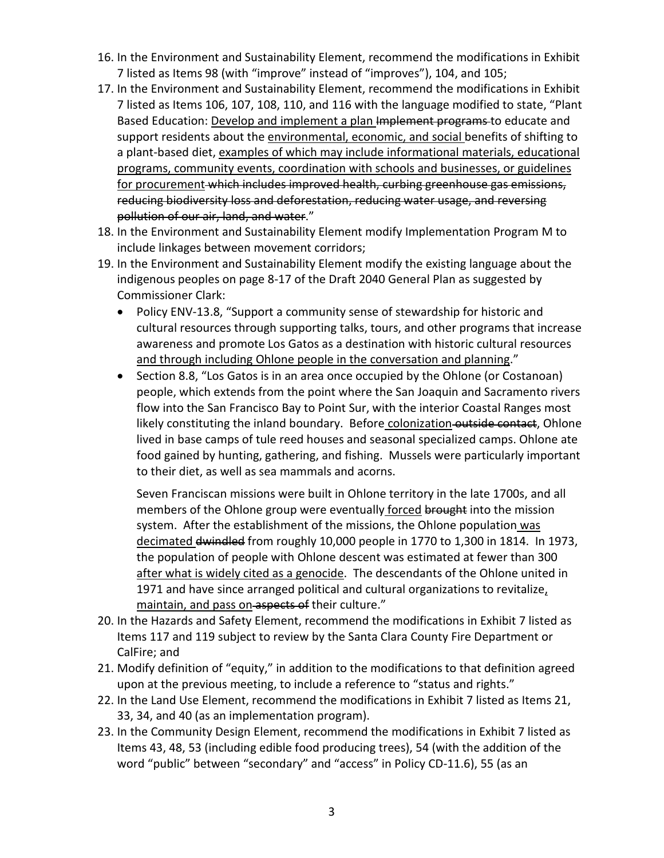- 16. In the Environment and Sustainability Element, recommend the modifications in Exhibit 7 listed as Items 98 (with "improve" instead of "improves"), 104, and 105;
- 17. In the Environment and Sustainability Element, recommend the modifications in Exhibit 7 listed as Items 106, 107, 108, 110, and 116 with the language modified to state, "Plant Based Education: Develop and implement a plan Implement programs to educate and support residents about the environmental, economic, and social benefits of shifting to a plant-based diet, examples of which may include informational materials, educational programs, community events, coordination with schools and businesses, or guidelines for procurement which includes improved health, curbing greenhouse gas emissions, reducing biodiversity loss and deforestation, reducing water usage, and reversing pollution of our air, land, and water."
- 18. In the Environment and Sustainability Element modify Implementation Program M to include linkages between movement corridors;
- 19. In the Environment and Sustainability Element modify the existing language about the indigenous peoples on page 8-17 of the Draft 2040 General Plan as suggested by Commissioner Clark:
	- Policy ENV-13.8, "Support a community sense of stewardship for historic and cultural resources through supporting talks, tours, and other programs that increase awareness and promote Los Gatos as a destination with historic cultural resources and through including Ohlone people in the conversation and planning."
	- Section 8.8, "Los Gatos is in an area once occupied by the Ohlone (or Costanoan) people, which extends from the point where the San Joaquin and Sacramento rivers flow into the San Francisco Bay to Point Sur, with the interior Coastal Ranges most likely constituting the inland boundary. Before colonization outside contact, Ohlone lived in base camps of tule reed houses and seasonal specialized camps. Ohlone ate food gained by hunting, gathering, and fishing. Mussels were particularly important to their diet, as well as sea mammals and acorns.

Seven Franciscan missions were built in Ohlone territory in the late 1700s, and all members of the Ohlone group were eventually forced brought into the mission system. After the establishment of the missions, the Ohlone population was decimated dwindled from roughly 10,000 people in 1770 to 1,300 in 1814. In 1973, the population of people with Ohlone descent was estimated at fewer than 300 after what is widely cited as a genocide. The descendants of the Ohlone united in 1971 and have since arranged political and cultural organizations to revitalize, maintain, and pass on aspects of their culture."

- 20. In the Hazards and Safety Element, recommend the modifications in Exhibit 7 listed as Items 117 and 119 subject to review by the Santa Clara County Fire Department or CalFire; and
- 21. Modify definition of "equity," in addition to the modifications to that definition agreed upon at the previous meeting, to include a reference to "status and rights."
- 22. In the Land Use Element, recommend the modifications in Exhibit 7 listed as Items 21, 33, 34, and 40 (as an implementation program).
- 23. In the Community Design Element, recommend the modifications in Exhibit 7 listed as Items 43, 48, 53 (including edible food producing trees), 54 (with the addition of the word "public" between "secondary" and "access" in Policy CD-11.6), 55 (as an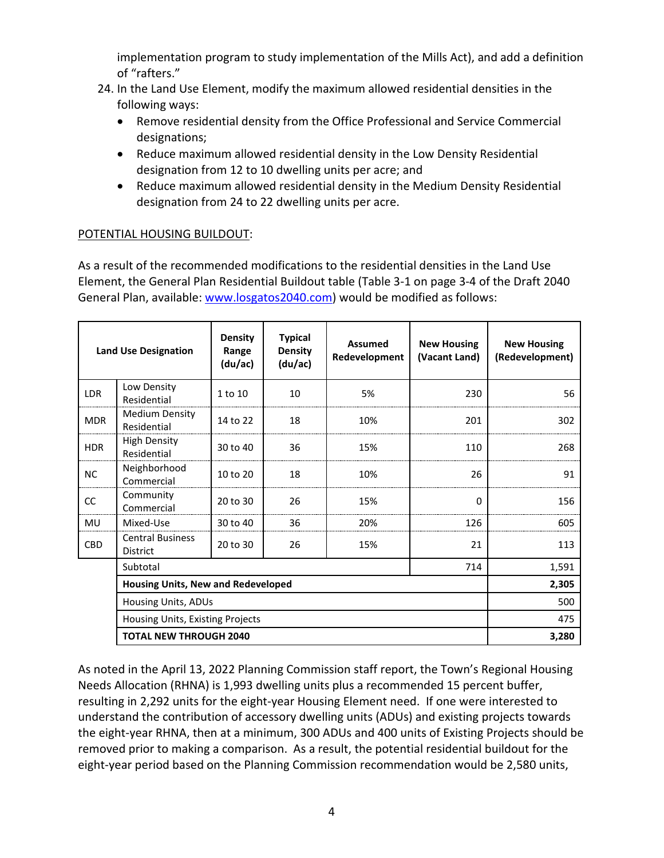implementation program to study implementation of the Mills Act), and add a definition of "rafters."

- 24. In the Land Use Element, modify the maximum allowed residential densities in the following ways:
	- Remove residential density from the Office Professional and Service Commercial designations;
	- Reduce maximum allowed residential density in the Low Density Residential designation from 12 to 10 dwelling units per acre; and
	- Reduce maximum allowed residential density in the Medium Density Residential designation from 24 to 22 dwelling units per acre.

## POTENTIAL HOUSING BUILDOUT:

As a result of the recommended modifications to the residential densities in the Land Use Element, the General Plan Residential Buildout table (Table 3-1 on page 3-4 of the Draft 2040 General Plan, available: [www.losgatos2040.com\)](http://www.losgatos2040.com/) would be modified as follows:

| <b>Land Use Designation</b>                             |                                            | <b>Density</b><br>Range<br>(du/ac) | <b>Typical</b><br><b>Density</b><br>(du/ac) | <b>Assumed</b><br>Redevelopment | <b>New Housing</b><br>(Vacant Land) | <b>New Housing</b><br>(Redevelopment) |
|---------------------------------------------------------|--------------------------------------------|------------------------------------|---------------------------------------------|---------------------------------|-------------------------------------|---------------------------------------|
| <b>LDR</b>                                              | Low Density<br>Residential                 | 1 to 10                            | 10                                          | 5%                              | 230                                 | 56                                    |
| <b>MDR</b>                                              | <b>Medium Density</b><br>Residential       | 14 to 22                           | 18                                          | 10%                             | 201                                 | 302                                   |
| <b>HDR</b>                                              | <b>High Density</b><br>Residential         | 30 to 40                           | 36                                          | 15%                             | 110                                 | 268                                   |
| <b>NC</b>                                               | Neighborhood<br>Commercial                 | 10 to 20                           | 18                                          | 10%                             | 26                                  | 91                                    |
| CC                                                      | Community<br>Commercial                    | 20 to 30                           | 26                                          | 15%                             | $\Omega$                            | 156                                   |
| MU                                                      | Mixed-Use                                  | 30 to 40                           | 36                                          | 20%                             | 126                                 | 605                                   |
| CBD                                                     | <b>Central Business</b><br><b>District</b> | 20 to 30                           | 26                                          | 15%                             | 21                                  | 113                                   |
| Subtotal<br>714<br>Housing Units, New and Redeveloped   |                                            |                                    |                                             |                                 |                                     | 1,591                                 |
|                                                         |                                            |                                    |                                             |                                 |                                     | 2,305                                 |
| Housing Units, ADUs<br>Housing Units, Existing Projects |                                            |                                    |                                             |                                 | 500                                 |                                       |
|                                                         |                                            |                                    |                                             |                                 | 475                                 |                                       |
| <b>TOTAL NEW THROUGH 2040</b>                           |                                            |                                    |                                             |                                 |                                     | 3,280                                 |

As noted in the April 13, 2022 Planning Commission staff report, the Town's Regional Housing Needs Allocation (RHNA) is 1,993 dwelling units plus a recommended 15 percent buffer, resulting in 2,292 units for the eight-year Housing Element need. If one were interested to understand the contribution of accessory dwelling units (ADUs) and existing projects towards the eight-year RHNA, then at a minimum, 300 ADUs and 400 units of Existing Projects should be removed prior to making a comparison. As a result, the potential residential buildout for the eight-year period based on the Planning Commission recommendation would be 2,580 units,